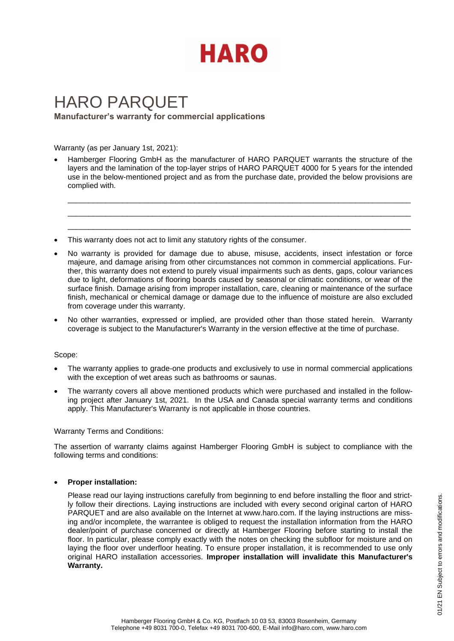

# HARO PARQUET **Manufacturer's warranty for commercial applications**

Warranty (as per January 1st, 2021):

• Hamberger Flooring GmbH as the manufacturer of HARO PARQUET warrants the structure of the layers and the lamination of the top-layer strips of HARO PARQUET 4000 for 5 years for the intended use in the below-mentioned project and as from the purchase date, provided the below provisions are complied with.

\_\_\_\_\_\_\_\_\_\_\_\_\_\_\_\_\_\_\_\_\_\_\_\_\_\_\_\_\_\_\_\_\_\_\_\_\_\_\_\_\_\_\_\_\_\_\_\_\_\_\_\_\_\_\_\_\_\_\_\_\_\_\_\_\_\_\_\_\_\_\_\_\_\_\_\_\_\_\_\_\_ \_\_\_\_\_\_\_\_\_\_\_\_\_\_\_\_\_\_\_\_\_\_\_\_\_\_\_\_\_\_\_\_\_\_\_\_\_\_\_\_\_\_\_\_\_\_\_\_\_\_\_\_\_\_\_\_\_\_\_\_\_\_\_\_\_\_\_\_\_\_\_\_\_\_\_\_\_\_\_\_\_ \_\_\_\_\_\_\_\_\_\_\_\_\_\_\_\_\_\_\_\_\_\_\_\_\_\_\_\_\_\_\_\_\_\_\_\_\_\_\_\_\_\_\_\_\_\_\_\_\_\_\_\_\_\_\_\_\_\_\_\_\_\_\_\_\_\_\_\_\_\_\_\_\_\_\_\_\_\_\_\_\_

- This warranty does not act to limit any statutory rights of the consumer.
- No warranty is provided for damage due to abuse, misuse, accidents, insect infestation or force majeure, and damage arising from other circumstances not common in commercial applications. Further, this warranty does not extend to purely visual impairments such as dents, gaps, colour variances due to light, deformations of flooring boards caused by seasonal or climatic conditions, or wear of the surface finish. Damage arising from improper installation, care, cleaning or maintenance of the surface finish, mechanical or chemical damage or damage due to the influence of moisture are also excluded from coverage under this warranty.
- No other warranties, expressed or implied, are provided other than those stated herein. Warranty coverage is subject to the Manufacturer's Warranty in the version effective at the time of purchase.

## Scope:

- The warranty applies to grade-one products and exclusively to use in normal commercial applications with the exception of wet areas such as bathrooms or saunas.
- The warranty covers all above mentioned products which were purchased and installed in the following project after January 1st, 2021. In the USA and Canada special warranty terms and conditions apply. This Manufacturer's Warranty is not applicable in those countries.

## Warranty Terms and Conditions:

The assertion of warranty claims against Hamberger Flooring GmbH is subject to compliance with the following terms and conditions:

## • **Proper installation:**

Please read our laying instructions carefully from beginning to end before installing the floor and strictly follow their directions. Laying instructions are included with every second original carton of HARO PARQUET and are also available on the Internet at www.haro.com. If the laying instructions are missing and/or incomplete, the warrantee is obliged to request the installation information from the HARO dealer/point of purchase concerned or directly at Hamberger Flooring before starting to install the floor. In particular, please comply exactly with the notes on checking the subfloor for moisture and on laying the floor over underfloor heating. To ensure proper installation, it is recommended to use only original HARO installation accessories. **Improper installation will invalidate this Manufacturer's Warranty.**